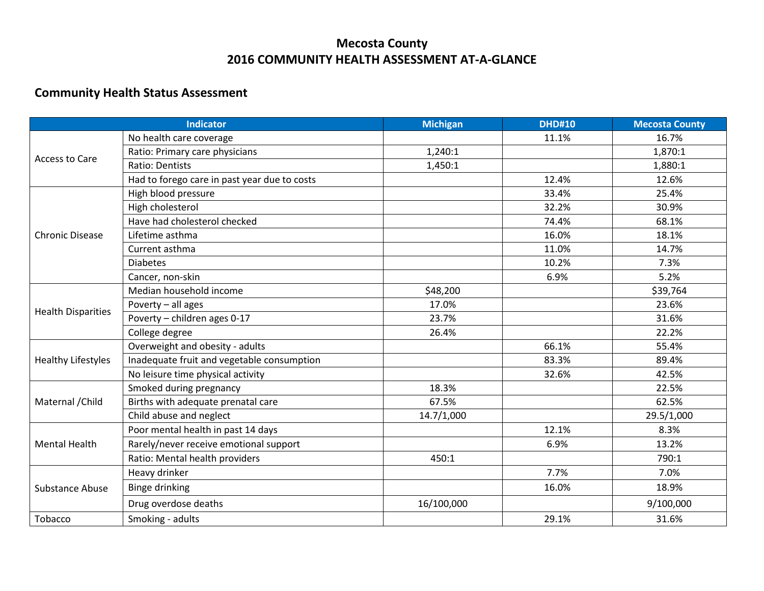## **Mecosta County 2016 COMMUNITY HEALTH ASSESSMENT AT-A-GLANCE**

## **Community Health Status Assessment**

| <b>Indicator</b>          |                                              | <b>Michigan</b> | <b>DHD#10</b> | <b>Mecosta County</b> |
|---------------------------|----------------------------------------------|-----------------|---------------|-----------------------|
| <b>Access to Care</b>     | No health care coverage                      |                 | 11.1%         | 16.7%                 |
|                           | Ratio: Primary care physicians               | 1,240:1         |               | 1,870:1               |
|                           | <b>Ratio: Dentists</b>                       | 1,450:1         |               | 1,880:1               |
|                           | Had to forego care in past year due to costs |                 | 12.4%         | 12.6%                 |
|                           | High blood pressure                          |                 | 33.4%         | 25.4%                 |
|                           | High cholesterol                             |                 | 32.2%         | 30.9%                 |
|                           | Have had cholesterol checked                 |                 | 74.4%         | 68.1%                 |
| <b>Chronic Disease</b>    | Lifetime asthma                              |                 | 16.0%         | 18.1%                 |
|                           | Current asthma                               |                 | 11.0%         | 14.7%                 |
|                           | <b>Diabetes</b>                              |                 | 10.2%         | 7.3%                  |
|                           | Cancer, non-skin                             |                 | 6.9%          | 5.2%                  |
|                           | Median household income                      | \$48,200        |               | \$39,764              |
|                           | Poverty - all ages                           | 17.0%           |               | 23.6%                 |
| <b>Health Disparities</b> | Poverty - children ages 0-17                 | 23.7%           |               | 31.6%                 |
|                           | College degree                               | 26.4%           |               | 22.2%                 |
|                           | Overweight and obesity - adults              |                 | 66.1%         | 55.4%                 |
| <b>Healthy Lifestyles</b> | Inadequate fruit and vegetable consumption   |                 | 83.3%         | 89.4%                 |
|                           | No leisure time physical activity            |                 | 32.6%         | 42.5%                 |
| Maternal / Child          | Smoked during pregnancy                      | 18.3%           |               | 22.5%                 |
|                           | Births with adequate prenatal care           | 67.5%           |               | 62.5%                 |
|                           | Child abuse and neglect                      | 14.7/1,000      |               | 29.5/1,000            |
| <b>Mental Health</b>      | Poor mental health in past 14 days           |                 | 12.1%         | 8.3%                  |
|                           | Rarely/never receive emotional support       |                 | 6.9%          | 13.2%                 |
|                           | Ratio: Mental health providers               | 450:1           |               | 790:1                 |
| <b>Substance Abuse</b>    | Heavy drinker                                |                 | 7.7%          | 7.0%                  |
|                           | <b>Binge drinking</b>                        |                 | 16.0%         | 18.9%                 |
|                           | Drug overdose deaths                         | 16/100,000      |               | 9/100,000             |
| Tobacco                   | Smoking - adults                             |                 | 29.1%         | 31.6%                 |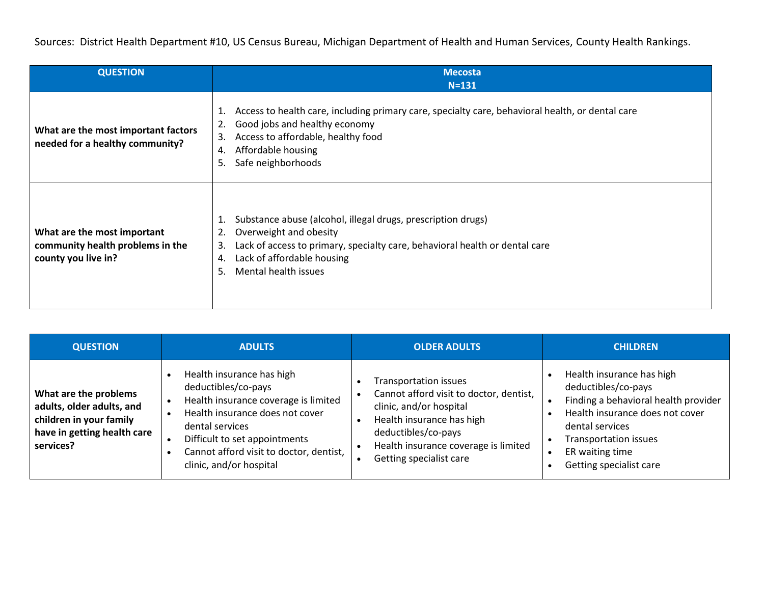Sources: District Health Department #10, US Census Bureau, Michigan Department of Health and Human Services, County Health Rankings.

| <b>QUESTION</b>                                                                        | <b>Mecosta</b>                                                                                                                                                                                                                                                 |
|----------------------------------------------------------------------------------------|----------------------------------------------------------------------------------------------------------------------------------------------------------------------------------------------------------------------------------------------------------------|
| What are the most important factors<br>needed for a healthy community?                 | $N = 131$<br>Access to health care, including primary care, specialty care, behavioral health, or dental care<br>1.<br>Good jobs and healthy economy<br>2.<br>Access to affordable, healthy food<br>3.<br>Affordable housing<br>4.<br>Safe neighborhoods<br>5. |
| What are the most important<br>community health problems in the<br>county you live in? | Substance abuse (alcohol, illegal drugs, prescription drugs)<br>Overweight and obesity<br>2.<br>Lack of access to primary, specialty care, behavioral health or dental care<br>3.<br>Lack of affordable housing<br>4.<br>Mental health issues<br>5.            |

| <b>QUESTION</b>                                                                                                           | <b>ADULTS</b>                                                                                                                                                                                                                                         | <b>OLDER ADULTS</b>                                                                                                                                                                                                | <b>CHILDREN</b>                                                                                                                                                                                                              |
|---------------------------------------------------------------------------------------------------------------------------|-------------------------------------------------------------------------------------------------------------------------------------------------------------------------------------------------------------------------------------------------------|--------------------------------------------------------------------------------------------------------------------------------------------------------------------------------------------------------------------|------------------------------------------------------------------------------------------------------------------------------------------------------------------------------------------------------------------------------|
| What are the problems<br>adults, older adults, and<br>children in your family<br>have in getting health care<br>services? | Health insurance has high<br>deductibles/co-pays<br>Health insurance coverage is limited<br>Health insurance does not cover<br>dental services<br>Difficult to set appointments<br>Cannot afford visit to doctor, dentist,<br>clinic, and/or hospital | Transportation issues<br>Cannot afford visit to doctor, dentist,<br>clinic, and/or hospital<br>Health insurance has high<br>deductibles/co-pays<br>Health insurance coverage is limited<br>Getting specialist care | Health insurance has high<br>deductibles/co-pays<br>Finding a behavioral health provider<br>Health insurance does not cover<br>dental services<br><b>Transportation issues</b><br>ER waiting time<br>Getting specialist care |